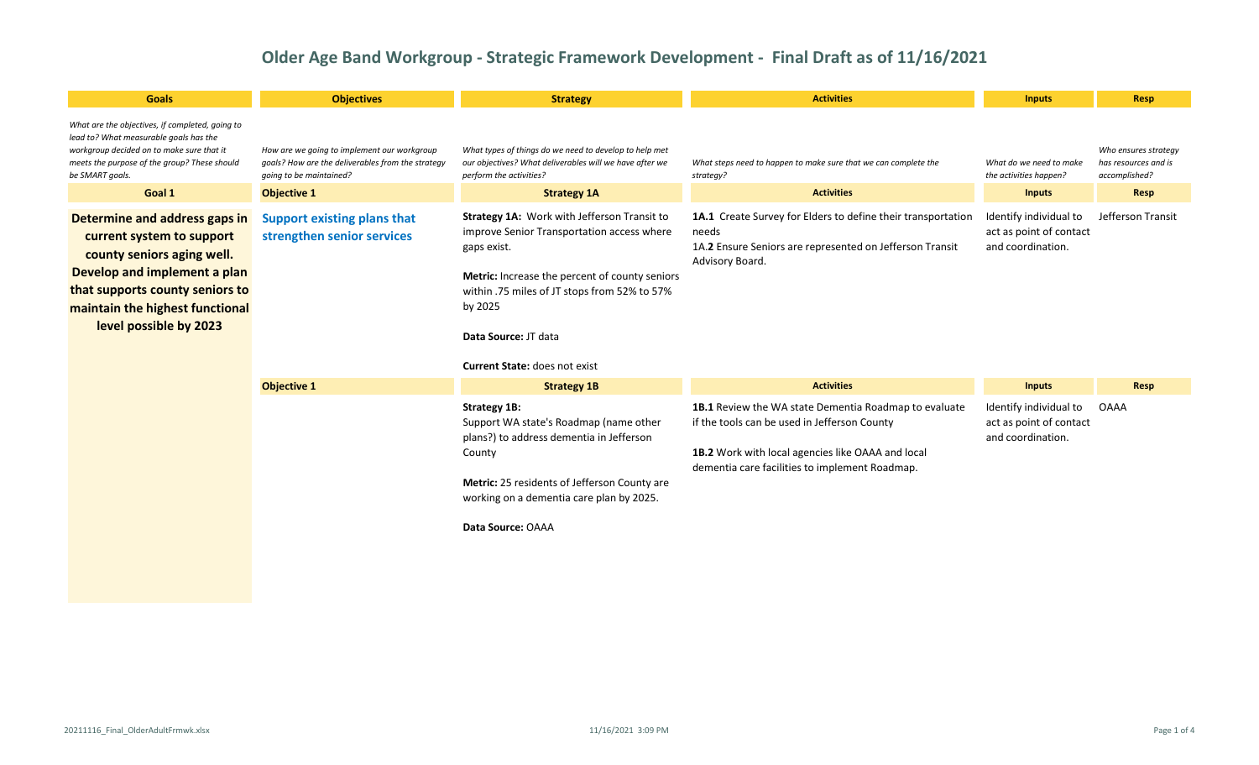| <b>Goals</b>                                                                                                                                                                                                             | <b>Objectives</b>                                                                                                           | <b>Strategy</b>                                                                                                                                                                                                                                                                       | <b>Activities</b>                                                                                                                                                                                            | <b>Inputs</b>                                                          | Resp                                                          |
|--------------------------------------------------------------------------------------------------------------------------------------------------------------------------------------------------------------------------|-----------------------------------------------------------------------------------------------------------------------------|---------------------------------------------------------------------------------------------------------------------------------------------------------------------------------------------------------------------------------------------------------------------------------------|--------------------------------------------------------------------------------------------------------------------------------------------------------------------------------------------------------------|------------------------------------------------------------------------|---------------------------------------------------------------|
| What are the objectives, if completed, going to<br>lead to? What measurable goals has the<br>workgroup decided on to make sure that it<br>meets the purpose of the group? These should<br>be SMART goals.                | How are we going to implement our workgroup<br>goals? How are the deliverables from the strategy<br>going to be maintained? | What types of things do we need to develop to help met<br>our objectives? What deliverables will we have after we<br>perform the activities?                                                                                                                                          | What steps need to happen to make sure that we can complete the<br>strategy?                                                                                                                                 | What do we need to make<br>the activities happen?                      | Who ensures strategy<br>has resources and is<br>accomplished? |
| Goal 1                                                                                                                                                                                                                   | <b>Objective 1</b>                                                                                                          | <b>Strategy 1A</b>                                                                                                                                                                                                                                                                    | <b>Activities</b>                                                                                                                                                                                            | <b>Inputs</b>                                                          | Resp                                                          |
| Determine and address gaps in<br>current system to support<br>county seniors aging well.<br>Develop and implement a plan<br>that supports county seniors to<br>maintain the highest functional<br>level possible by 2023 | <b>Support existing plans that</b><br>strengthen senior services                                                            | Strategy 1A: Work with Jefferson Transit to<br>improve Senior Transportation access where<br>gaps exist.<br>Metric: Increase the percent of county seniors<br>within .75 miles of JT stops from 52% to 57%<br>by 2025<br>Data Source: JT data<br><b>Current State: does not exist</b> | 1A.1 Create Survey for Elders to define their transportation<br>needs<br>1A.2 Ensure Seniors are represented on Jefferson Transit<br>Advisory Board.                                                         | Identify individual to<br>act as point of contact<br>and coordination. | Jefferson Transit                                             |
|                                                                                                                                                                                                                          | <b>Objective 1</b>                                                                                                          | <b>Strategy 1B</b>                                                                                                                                                                                                                                                                    | <b>Activities</b>                                                                                                                                                                                            | <b>Inputs</b>                                                          | Resp                                                          |
|                                                                                                                                                                                                                          |                                                                                                                             | Strategy 1B:<br>Support WA state's Roadmap (name other<br>plans?) to address dementia in Jefferson<br>County<br>Metric: 25 residents of Jefferson County are<br>working on a dementia care plan by 2025.<br>Data Source: OAAA                                                         | 1B.1 Review the WA state Dementia Roadmap to evaluate<br>if the tools can be used in Jefferson County<br>1B.2 Work with local agencies like OAAA and local<br>dementia care facilities to implement Roadmap. | Identify individual to<br>act as point of contact<br>and coordination. | OAAA                                                          |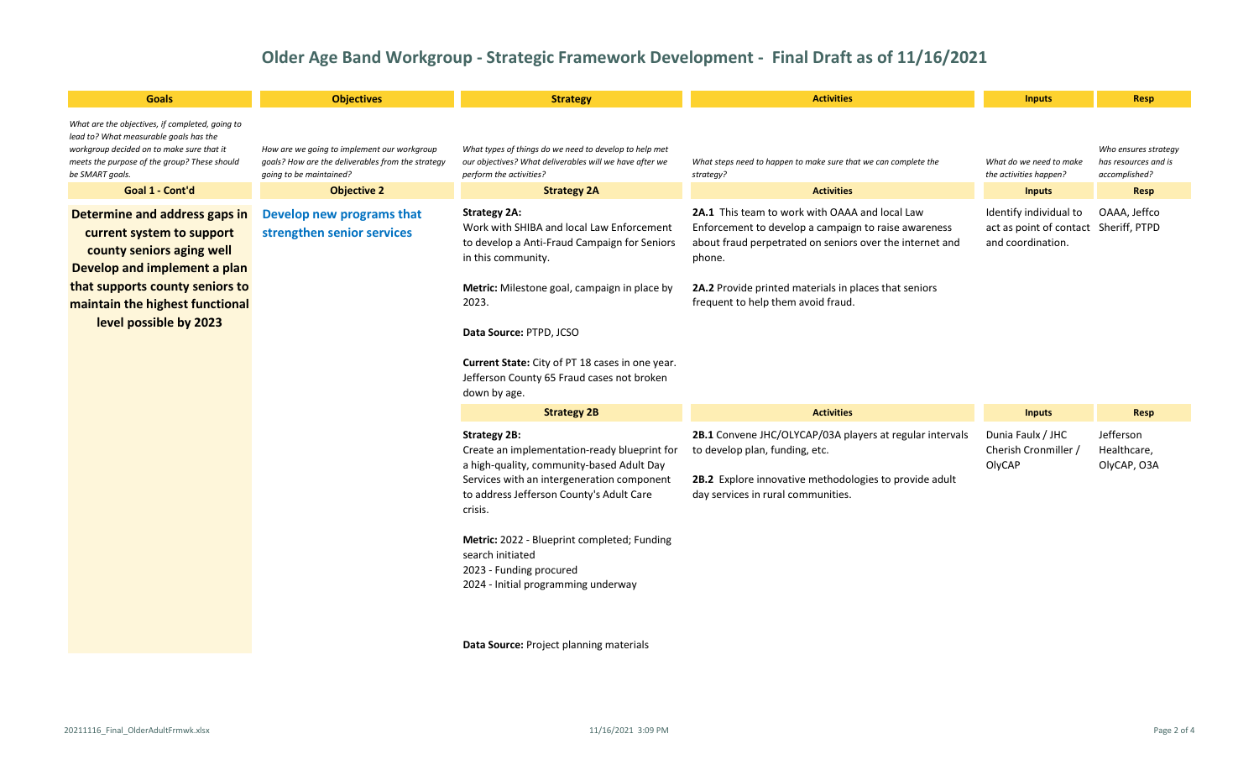| <b>Goals</b>                                                                                                                                                                                                                                                                       | <b>Objectives</b>                                                                                                           | <b>Strategy</b>                                                                                                                                                                                                                                                                                                                                            | <b>Activities</b>                                                                                                                                                                                                                                                           | <b>Inputs</b>                                                                        | <b>Resp</b>                                                   |
|------------------------------------------------------------------------------------------------------------------------------------------------------------------------------------------------------------------------------------------------------------------------------------|-----------------------------------------------------------------------------------------------------------------------------|------------------------------------------------------------------------------------------------------------------------------------------------------------------------------------------------------------------------------------------------------------------------------------------------------------------------------------------------------------|-----------------------------------------------------------------------------------------------------------------------------------------------------------------------------------------------------------------------------------------------------------------------------|--------------------------------------------------------------------------------------|---------------------------------------------------------------|
| What are the objectives, if completed, going to<br>lead to? What measurable goals has the<br>workgroup decided on to make sure that it<br>meets the purpose of the group? These should<br>be SMART goals.                                                                          | How are we going to implement our workgroup<br>goals? How are the deliverables from the strategy<br>going to be maintained? | What types of things do we need to develop to help met<br>our objectives? What deliverables will we have after we<br>perform the activities?                                                                                                                                                                                                               | What steps need to happen to make sure that we can complete the<br>strategy?                                                                                                                                                                                                | What do we need to make<br>the activities happen?                                    | Who ensures strategy<br>has resources and is<br>accomplished? |
| Goal 1 - Cont'd                                                                                                                                                                                                                                                                    | <b>Objective 2</b>                                                                                                          | <b>Strategy 2A</b>                                                                                                                                                                                                                                                                                                                                         | <b>Activities</b>                                                                                                                                                                                                                                                           | <b>Inputs</b>                                                                        | Resp                                                          |
| Determine and address gaps in<br>Develop new programs that<br>strengthen senior services<br>current system to support<br>county seniors aging well<br>Develop and implement a plan<br>that supports county seniors to<br>maintain the highest functional<br>level possible by 2023 |                                                                                                                             | <b>Strategy 2A:</b><br>Work with SHIBA and local Law Enforcement<br>to develop a Anti-Fraud Campaign for Seniors<br>in this community.<br>Metric: Milestone goal, campaign in place by<br>2023.<br>Data Source: PTPD, JCSO<br>Current State: City of PT 18 cases in one year.<br>Jefferson County 65 Fraud cases not broken<br>down by age.                | 2A.1 This team to work with OAAA and local Law<br>Enforcement to develop a campaign to raise awareness<br>about fraud perpetrated on seniors over the internet and<br>phone.<br>2A.2 Provide printed materials in places that seniors<br>frequent to help them avoid fraud. | Identify individual to<br>act as point of contact Sheriff, PTPD<br>and coordination. | OAAA, Jeffco                                                  |
|                                                                                                                                                                                                                                                                                    |                                                                                                                             | <b>Strategy 2B</b>                                                                                                                                                                                                                                                                                                                                         | <b>Activities</b>                                                                                                                                                                                                                                                           | <b>Inputs</b>                                                                        | Resp                                                          |
|                                                                                                                                                                                                                                                                                    |                                                                                                                             | <b>Strategy 2B:</b><br>Create an implementation-ready blueprint for<br>a high-quality, community-based Adult Day<br>Services with an intergeneration component<br>to address Jefferson County's Adult Care<br>crisis.<br>Metric: 2022 - Blueprint completed; Funding<br>search initiated<br>2023 - Funding procured<br>2024 - Initial programming underway | 2B.1 Convene JHC/OLYCAP/03A players at regular intervals<br>to develop plan, funding, etc.<br>2B.2 Explore innovative methodologies to provide adult<br>day services in rural communities.                                                                                  | Dunia Faulx / JHC<br>Cherish Cronmiller /<br>OlyCAP                                  | Jefferson<br>Healthcare,<br>OlyCAP, O3A                       |

**Data Source:** Project planning materials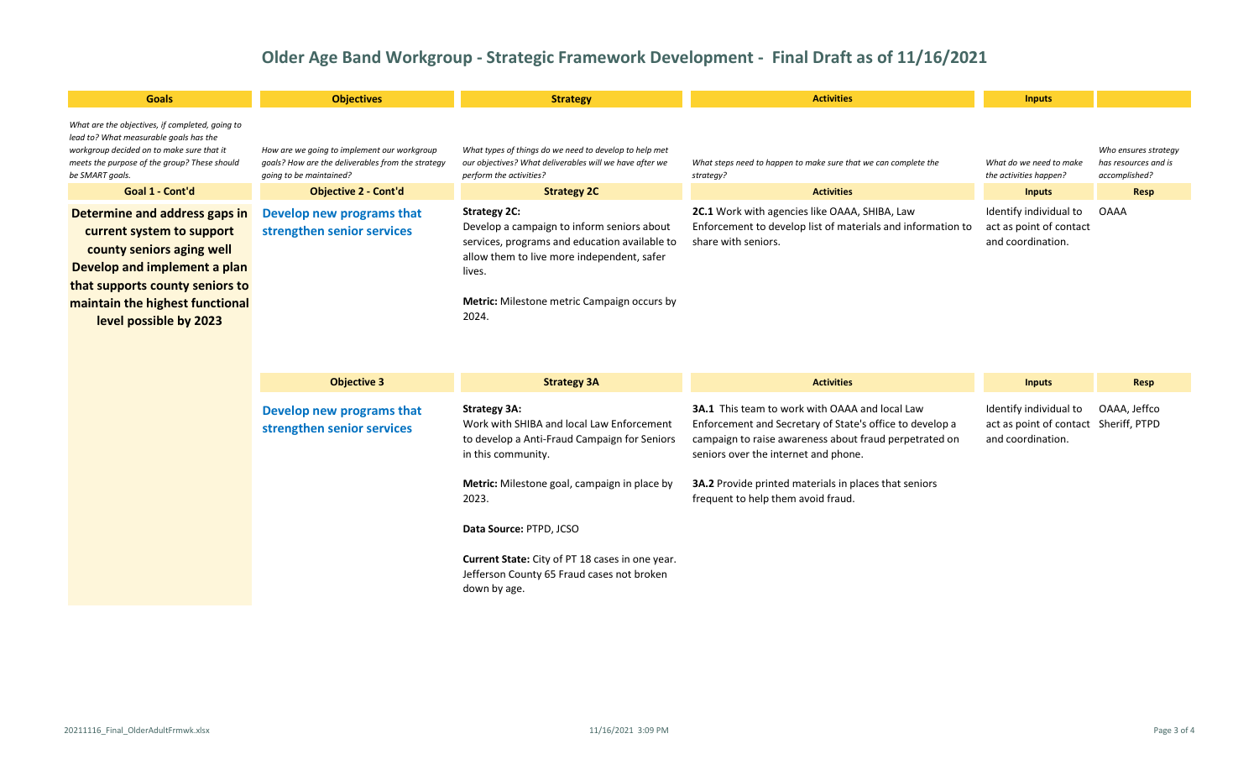| <b>Goals</b>                                                                                                                                                                                                            | <b>Objectives</b>                                                                                                           | <b>Strategy</b>                                                                                                                                                                                                                           | <b>Activities</b>                                                                                                                   | <b>Inputs</b>                                                          |                                                               |
|-------------------------------------------------------------------------------------------------------------------------------------------------------------------------------------------------------------------------|-----------------------------------------------------------------------------------------------------------------------------|-------------------------------------------------------------------------------------------------------------------------------------------------------------------------------------------------------------------------------------------|-------------------------------------------------------------------------------------------------------------------------------------|------------------------------------------------------------------------|---------------------------------------------------------------|
| What are the objectives, if completed, going to<br>lead to? What measurable goals has the<br>workgroup decided on to make sure that it<br>meets the purpose of the group? These should<br>be SMART goals.               | How are we going to implement our workgroup<br>goals? How are the deliverables from the strategy<br>going to be maintained? | What types of things do we need to develop to help met<br>our objectives? What deliverables will we have after we<br>perform the activities?                                                                                              | What steps need to happen to make sure that we can complete the<br>strategy?                                                        | What do we need to make<br>the activities happen?                      | Who ensures strategy<br>has resources and is<br>accomplished? |
| Goal 1 - Cont'd                                                                                                                                                                                                         | <b>Objective 2 - Cont'd</b>                                                                                                 | <b>Strategy 2C</b>                                                                                                                                                                                                                        | <b>Activities</b>                                                                                                                   | <b>Inputs</b>                                                          | Resp                                                          |
| Determine and address gaps in<br>current system to support<br>county seniors aging well<br>Develop and implement a plan<br>that supports county seniors to<br>maintain the highest functional<br>level possible by 2023 | Develop new programs that<br>strengthen senior services                                                                     | <b>Strategy 2C:</b><br>Develop a campaign to inform seniors about<br>services, programs and education available to<br>allow them to live more independent, safer<br>lives.<br><b>Metric:</b> Milestone metric Campaign occurs by<br>2024. | 2C.1 Work with agencies like OAAA, SHIBA, Law<br>Enforcement to develop list of materials and information to<br>share with seniors. | Identify individual to<br>act as point of contact<br>and coordination. | OAAA                                                          |

| <b>Objective 3</b>                                      | <b>Strategy 3A</b>                                                                                                                     | <b>Activities</b>                                                                                                                                                                                                   | <b>Inputs</b>                                                                        | Resp         |
|---------------------------------------------------------|----------------------------------------------------------------------------------------------------------------------------------------|---------------------------------------------------------------------------------------------------------------------------------------------------------------------------------------------------------------------|--------------------------------------------------------------------------------------|--------------|
| Develop new programs that<br>strengthen senior services | <b>Strategy 3A:</b><br>Work with SHIBA and local Law Enforcement<br>to develop a Anti-Fraud Campaign for Seniors<br>in this community. | <b>3A.1</b> This team to work with OAAA and local Law<br>Enforcement and Secretary of State's office to develop a<br>campaign to raise awareness about fraud perpetrated on<br>seniors over the internet and phone. | Identify individual to<br>act as point of contact Sheriff, PTPD<br>and coordination. | OAAA, Jeffco |
|                                                         | <b>Metric:</b> Milestone goal, campaign in place by<br>2023.                                                                           | <b>3A.2</b> Provide printed materials in places that seniors<br>frequent to help them avoid fraud.                                                                                                                  |                                                                                      |              |
|                                                         | Data Source: PTPD, JCSO                                                                                                                |                                                                                                                                                                                                                     |                                                                                      |              |
|                                                         | <b>Current State:</b> City of PT 18 cases in one year.<br>Jefferson County 65 Fraud cases not broken<br>down by age.                   |                                                                                                                                                                                                                     |                                                                                      |              |